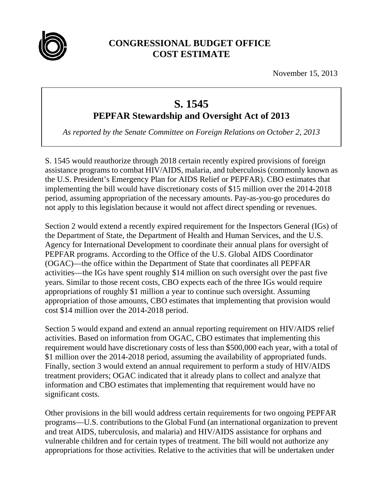

## **CONGRESSIONAL BUDGET OFFICE COST ESTIMATE**

November 15, 2013

## **S. 1545**

**PEPFAR Stewardship and Oversight Act of 2013** 

*As reported by the Senate Committee on Foreign Relations on October 2, 2013* 

S. 1545 would reauthorize through 2018 certain recently expired provisions of foreign assistance programs to combat HIV/AIDS, malaria, and tuberculosis (commonly known as the U.S. President's Emergency Plan for AIDS Relief or PEPFAR). CBO estimates that implementing the bill would have discretionary costs of \$15 million over the 2014-2018 period, assuming appropriation of the necessary amounts. Pay-as-you-go procedures do not apply to this legislation because it would not affect direct spending or revenues.

Section 2 would extend a recently expired requirement for the Inspectors General (IGs) of the Department of State, the Department of Health and Human Services, and the U.S. Agency for International Development to coordinate their annual plans for oversight of PEPFAR programs. According to the Office of the U.S. Global AIDS Coordinator (OGAC)—the office within the Department of State that coordinates all PEPFAR activities—the IGs have spent roughly \$14 million on such oversight over the past five years. Similar to those recent costs, CBO expects each of the three IGs would require appropriations of roughly \$1 million a year to continue such oversight. Assuming appropriation of those amounts, CBO estimates that implementing that provision would cost \$14 million over the 2014-2018 period.

Section 5 would expand and extend an annual reporting requirement on HIV/AIDS relief activities. Based on information from OGAC, CBO estimates that implementing this requirement would have discretionary costs of less than \$500,000 each year, with a total of \$1 million over the 2014-2018 period, assuming the availability of appropriated funds. Finally, section 3 would extend an annual requirement to perform a study of HIV/AIDS treatment providers; OGAC indicated that it already plans to collect and analyze that information and CBO estimates that implementing that requirement would have no significant costs.

Other provisions in the bill would address certain requirements for two ongoing PEPFAR programs—U.S. contributions to the Global Fund (an international organization to prevent and treat AIDS, tuberculosis, and malaria) and HIV/AIDS assistance for orphans and vulnerable children and for certain types of treatment. The bill would not authorize any appropriations for those activities. Relative to the activities that will be undertaken under